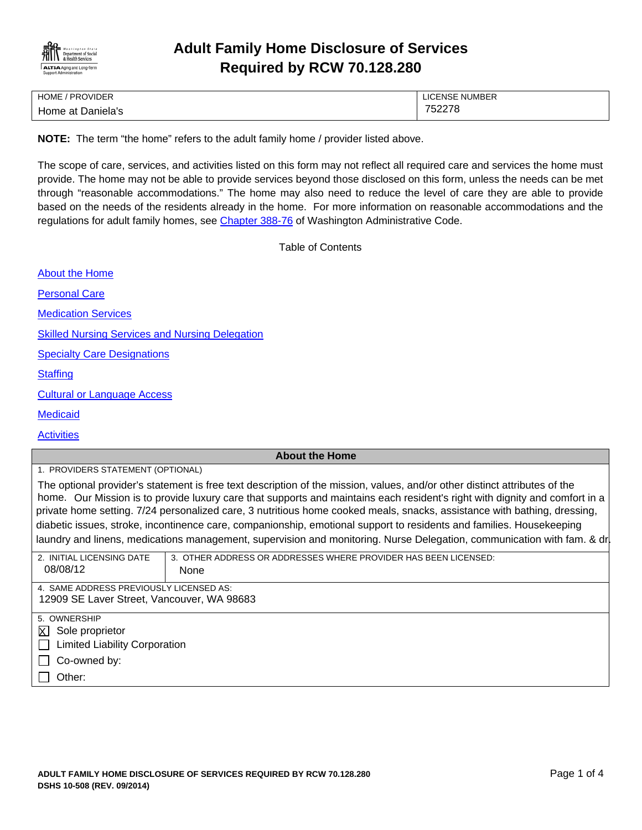

## **Adult Family Home Disclosure of Services Required by RCW 70.128.280**

| HOME / PROVIDER   | LICENSE NUMBER |
|-------------------|----------------|
| Home at Daniela's | 752278         |

**NOTE:** The term "the home" refers to the adult family home / provider listed above.

The scope of care, services, and activities listed on this form may not reflect all required care and services the home must provide. The home may not be able to provide services beyond those disclosed on this form, unless the needs can be met through "reasonable accommodations." The home may also need to reduce the level of care they are able to provide based on the needs of the residents already in the home. For more information on reasonable accommodations and the regulations for adult family homes, see Chapter 388-76 of Washington Administrative Code.

Table of Contents

About the Home

Personal Care

Medication Services

Skilled Nursing Services and Nursing Delegation

Specialty Care Designations

**Staffing** 

Cultural or Language Access

**Medicaid** 

**Activities** 

## **About the Home**

| 1. PROVIDERS STATEMENT (OPTIONAL)                                                                                           |
|-----------------------------------------------------------------------------------------------------------------------------|
| The optional provider's statement is free text description of the mission, values, and/or other distinct attributes of the  |
| home. Our Mission is to provide luxury care that supports and maintains each resident's right with dignity and comfort in a |
| private home setting. 7/24 personalized care, 3 nutritious home cooked meals, snacks, assistance with bathing, dressing,    |
| diabetic issues, stroke, incontinence care, companionship, emotional support to residents and families. Housekeeping        |

|  |  |  | laundry and linens, medications management, supervision and monitoring. Nurse Delegation, communication with fam. & dr |  |
|--|--|--|------------------------------------------------------------------------------------------------------------------------|--|
|  |  |  |                                                                                                                        |  |

| 2. INITIAL LICENSING DATE                            | 3. OTHER ADDRESS OR ADDRESSES WHERE PROVIDER HAS BEEN LICENSED: |
|------------------------------------------------------|-----------------------------------------------------------------|
| 08/08/12                                             | None                                                            |
|                                                      |                                                                 |
| 4. SAME ADDRESS PREVIOUSLY LICENSED AS:              |                                                                 |
| 12909 SE Laver Street, Vancouver, WA 98683           |                                                                 |
|                                                      |                                                                 |
| 5. OWNERSHIP                                         |                                                                 |
| $\overline{X}$ Sole proprietor                       |                                                                 |
| <b>Limited Liability Corporation</b><br>$\mathbf{1}$ |                                                                 |
| Co-owned by:                                         |                                                                 |
| Other:                                               |                                                                 |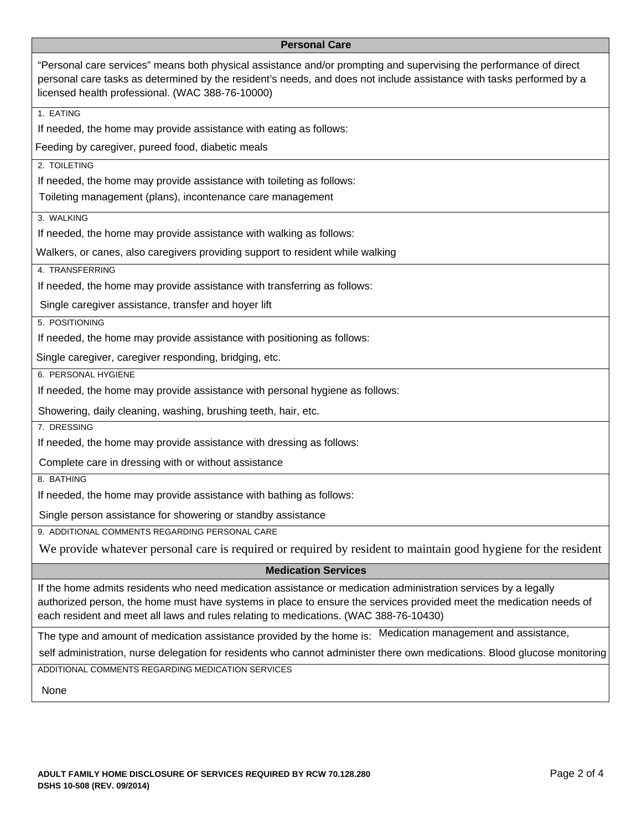## **Personal Care**

| "Personal care services" means both physical assistance and/or prompting and supervising the performance of direct<br>personal care tasks as determined by the resident's needs, and does not include assistance with tasks performed by a<br>licensed health professional. (WAC 388-76-10000)                                 |
|--------------------------------------------------------------------------------------------------------------------------------------------------------------------------------------------------------------------------------------------------------------------------------------------------------------------------------|
| 1. EATING                                                                                                                                                                                                                                                                                                                      |
| If needed, the home may provide assistance with eating as follows:                                                                                                                                                                                                                                                             |
| Feeding by caregiver, pureed food, diabetic meals                                                                                                                                                                                                                                                                              |
| 2. TOILETING                                                                                                                                                                                                                                                                                                                   |
| If needed, the home may provide assistance with toileting as follows:                                                                                                                                                                                                                                                          |
| Toileting management (plans), incontenance care management                                                                                                                                                                                                                                                                     |
| 3. WALKING                                                                                                                                                                                                                                                                                                                     |
| If needed, the home may provide assistance with walking as follows:                                                                                                                                                                                                                                                            |
| Walkers, or canes, also caregivers providing support to resident while walking                                                                                                                                                                                                                                                 |
| 4. TRANSFERRING                                                                                                                                                                                                                                                                                                                |
| If needed, the home may provide assistance with transferring as follows:                                                                                                                                                                                                                                                       |
| Single caregiver assistance, transfer and hoyer lift                                                                                                                                                                                                                                                                           |
| 5. POSITIONING                                                                                                                                                                                                                                                                                                                 |
| If needed, the home may provide assistance with positioning as follows:                                                                                                                                                                                                                                                        |
| Single caregiver, caregiver responding, bridging, etc.                                                                                                                                                                                                                                                                         |
| 6. PERSONAL HYGIENE                                                                                                                                                                                                                                                                                                            |
| If needed, the home may provide assistance with personal hygiene as follows:                                                                                                                                                                                                                                                   |
| Showering, daily cleaning, washing, brushing teeth, hair, etc.                                                                                                                                                                                                                                                                 |
| 7. DRESSING                                                                                                                                                                                                                                                                                                                    |
| If needed, the home may provide assistance with dressing as follows:                                                                                                                                                                                                                                                           |
| Complete care in dressing with or without assistance                                                                                                                                                                                                                                                                           |
| 8. BATHING                                                                                                                                                                                                                                                                                                                     |
| If needed, the home may provide assistance with bathing as follows:                                                                                                                                                                                                                                                            |
| Single person assistance for showering or standby assistance                                                                                                                                                                                                                                                                   |
| 9. ADDITIONAL COMMENTS REGARDING PERSONAL CARE                                                                                                                                                                                                                                                                                 |
| We provide whatever personal care is required or required by resident to maintain good hygiene for the resident                                                                                                                                                                                                                |
| <b>Medication Services</b>                                                                                                                                                                                                                                                                                                     |
| If the home admits residents who need medication assistance or medication administration services by a legally<br>authorized person, the home must have systems in place to ensure the services provided meet the medication needs of<br>each resident and meet all laws and rules relating to medications. (WAC 388-76-10430) |
| Medication management and assistance,<br>The type and amount of medication assistance provided by the home is:                                                                                                                                                                                                                 |
| self administration, nurse delegation for residents who cannot administer there own medications. Blood glucose monitoring                                                                                                                                                                                                      |
| ADDITIONAL COMMENTS REGARDING MEDICATION SERVICES                                                                                                                                                                                                                                                                              |
| None                                                                                                                                                                                                                                                                                                                           |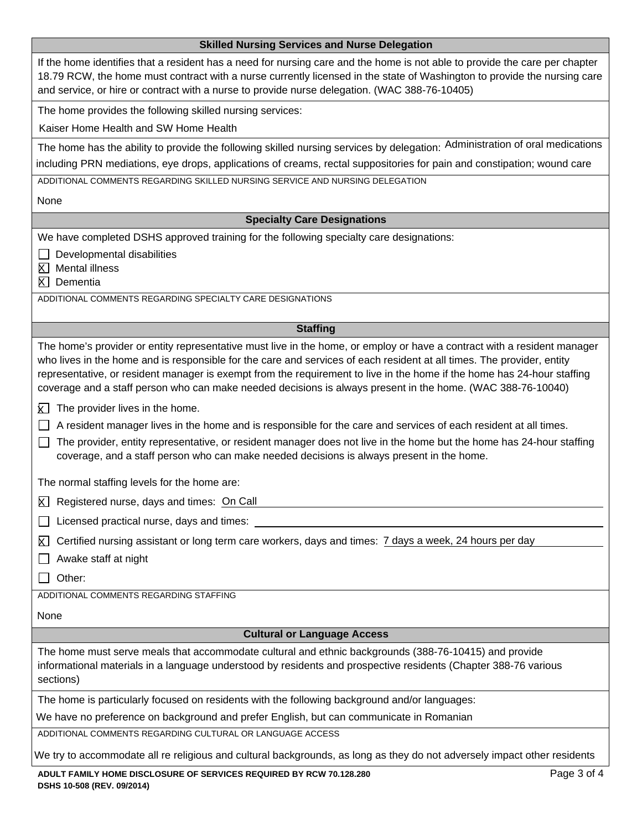| <b>Skilled Nursing Services and Nurse Delegation</b>                                                                                                                                                                                                                                                                                                                                                                                                                                         |
|----------------------------------------------------------------------------------------------------------------------------------------------------------------------------------------------------------------------------------------------------------------------------------------------------------------------------------------------------------------------------------------------------------------------------------------------------------------------------------------------|
| If the home identifies that a resident has a need for nursing care and the home is not able to provide the care per chapter<br>18.79 RCW, the home must contract with a nurse currently licensed in the state of Washington to provide the nursing care<br>and service, or hire or contract with a nurse to provide nurse delegation. (WAC 388-76-10405)                                                                                                                                     |
| The home provides the following skilled nursing services:                                                                                                                                                                                                                                                                                                                                                                                                                                    |
| Kaiser Home Health and SW Home Health                                                                                                                                                                                                                                                                                                                                                                                                                                                        |
| The home has the ability to provide the following skilled nursing services by delegation: Administration of oral medications                                                                                                                                                                                                                                                                                                                                                                 |
| including PRN mediations, eye drops, applications of creams, rectal suppositories for pain and constipation; wound care                                                                                                                                                                                                                                                                                                                                                                      |
| ADDITIONAL COMMENTS REGARDING SKILLED NURSING SERVICE AND NURSING DELEGATION                                                                                                                                                                                                                                                                                                                                                                                                                 |
| None                                                                                                                                                                                                                                                                                                                                                                                                                                                                                         |
| <b>Specialty Care Designations</b>                                                                                                                                                                                                                                                                                                                                                                                                                                                           |
| We have completed DSHS approved training for the following specialty care designations:                                                                                                                                                                                                                                                                                                                                                                                                      |
| Developmental disabilities<br>Mental illness<br>X I<br>$\overline{X}$ Dementia                                                                                                                                                                                                                                                                                                                                                                                                               |
| ADDITIONAL COMMENTS REGARDING SPECIALTY CARE DESIGNATIONS                                                                                                                                                                                                                                                                                                                                                                                                                                    |
| <b>Staffing</b>                                                                                                                                                                                                                                                                                                                                                                                                                                                                              |
| The home's provider or entity representative must live in the home, or employ or have a contract with a resident manager<br>who lives in the home and is responsible for the care and services of each resident at all times. The provider, entity<br>representative, or resident manager is exempt from the requirement to live in the home if the home has 24-hour staffing<br>coverage and a staff person who can make needed decisions is always present in the home. (WAC 388-76-10040) |
| The provider lives in the home.<br>κı<br>A resident manager lives in the home and is responsible for the care and services of each resident at all times.<br>The provider, entity representative, or resident manager does not live in the home but the home has 24-hour staffing<br>coverage, and a staff person who can make needed decisions is always present in the home.                                                                                                               |
| The normal staffing levels for the home are:                                                                                                                                                                                                                                                                                                                                                                                                                                                 |
| $\overline{X}$ Registered nurse, days and times: On Call                                                                                                                                                                                                                                                                                                                                                                                                                                     |
| Licensed practical nurse, days and times:                                                                                                                                                                                                                                                                                                                                                                                                                                                    |
| Certified nursing assistant or long term care workers, days and times: 7 days a week, 24 hours per day<br>K.<br>Awake staff at night<br>Other:<br>ADDITIONAL COMMENTS REGARDING STAFFING                                                                                                                                                                                                                                                                                                     |
| None                                                                                                                                                                                                                                                                                                                                                                                                                                                                                         |
| <b>Cultural or Language Access</b>                                                                                                                                                                                                                                                                                                                                                                                                                                                           |
| The home must serve meals that accommodate cultural and ethnic backgrounds (388-76-10415) and provide<br>informational materials in a language understood by residents and prospective residents (Chapter 388-76 various<br>sections)                                                                                                                                                                                                                                                        |
| The home is particularly focused on residents with the following background and/or languages:                                                                                                                                                                                                                                                                                                                                                                                                |
| We have no preference on background and prefer English, but can communicate in Romanian                                                                                                                                                                                                                                                                                                                                                                                                      |
| ADDITIONAL COMMENTS REGARDING CULTURAL OR LANGUAGE ACCESS                                                                                                                                                                                                                                                                                                                                                                                                                                    |
| We try to accommodate all re religious and cultural backgrounds, as long as they do not adversely impact other residents                                                                                                                                                                                                                                                                                                                                                                     |
| Page 3 of 4<br>ADULT FAMILY HOME DISCLOSURE OF SERVICES REQUIRED BY RCW 70.128.280                                                                                                                                                                                                                                                                                                                                                                                                           |

**DSHS 10-508 (REV. 09/2014)**